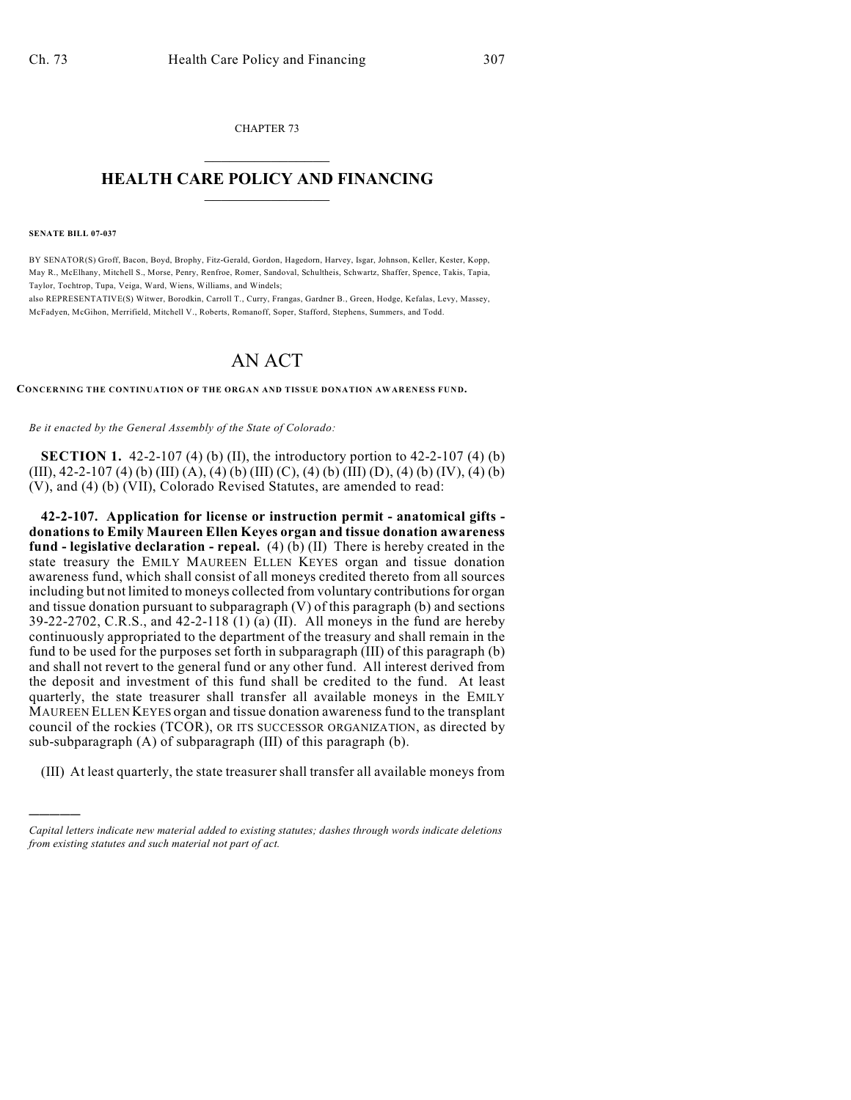CHAPTER 73  $\overline{\phantom{a}}$  . The set of the set of the set of the set of the set of the set of the set of the set of the set of the set of the set of the set of the set of the set of the set of the set of the set of the set of the set o

## **HEALTH CARE POLICY AND FINANCING**  $\_$   $\_$   $\_$   $\_$   $\_$   $\_$   $\_$   $\_$

**SENATE BILL 07-037**

)))))

BY SENATOR(S) Groff, Bacon, Boyd, Brophy, Fitz-Gerald, Gordon, Hagedorn, Harvey, Isgar, Johnson, Keller, Kester, Kopp, May R., McElhany, Mitchell S., Morse, Penry, Renfroe, Romer, Sandoval, Schultheis, Schwartz, Shaffer, Spence, Takis, Tapia, Taylor, Tochtrop, Tupa, Veiga, Ward, Wiens, Williams, and Windels;

also REPRESENTATIVE(S) Witwer, Borodkin, Carroll T., Curry, Frangas, Gardner B., Green, Hodge, Kefalas, Levy, Massey, McFadyen, McGihon, Merrifield, Mitchell V., Roberts, Romanoff, Soper, Stafford, Stephens, Summers, and Todd.

## AN ACT

**CONCERNING THE CONTINUATION OF THE ORGAN AND TISSUE DONATION AWARENESS FUND.**

*Be it enacted by the General Assembly of the State of Colorado:*

**SECTION 1.** 42-2-107 (4) (b) (II), the introductory portion to 42-2-107 (4) (b) (III), 42-2-107 (4) (b) (III) (A), (4) (b) (III) (C), (4) (b) (III) (D), (4) (b) (IV), (4) (b) (V), and (4) (b) (VII), Colorado Revised Statutes, are amended to read:

**42-2-107. Application for license or instruction permit - anatomical gifts donations to Emily Maureen Ellen Keyes organ and tissue donation awareness fund - legislative declaration - repeal.** (4) (b) (II) There is hereby created in the state treasury the EMILY MAUREEN ELLEN KEYES organ and tissue donation awareness fund, which shall consist of all moneys credited thereto from all sources including but not limited to moneys collected from voluntary contributions for organ and tissue donation pursuant to subparagraph (V) of this paragraph (b) and sections 39-22-2702, C.R.S., and 42-2-118 (1) (a) (II). All moneys in the fund are hereby continuously appropriated to the department of the treasury and shall remain in the fund to be used for the purposes set forth in subparagraph (III) of this paragraph (b) and shall not revert to the general fund or any other fund. All interest derived from the deposit and investment of this fund shall be credited to the fund. At least quarterly, the state treasurer shall transfer all available moneys in the EMILY MAUREEN ELLEN KEYES organ and tissue donation awareness fund to the transplant council of the rockies (TCOR), OR ITS SUCCESSOR ORGANIZATION, as directed by sub-subparagraph (A) of subparagraph (III) of this paragraph (b).

(III) At least quarterly, the state treasurer shall transfer all available moneys from

*Capital letters indicate new material added to existing statutes; dashes through words indicate deletions from existing statutes and such material not part of act.*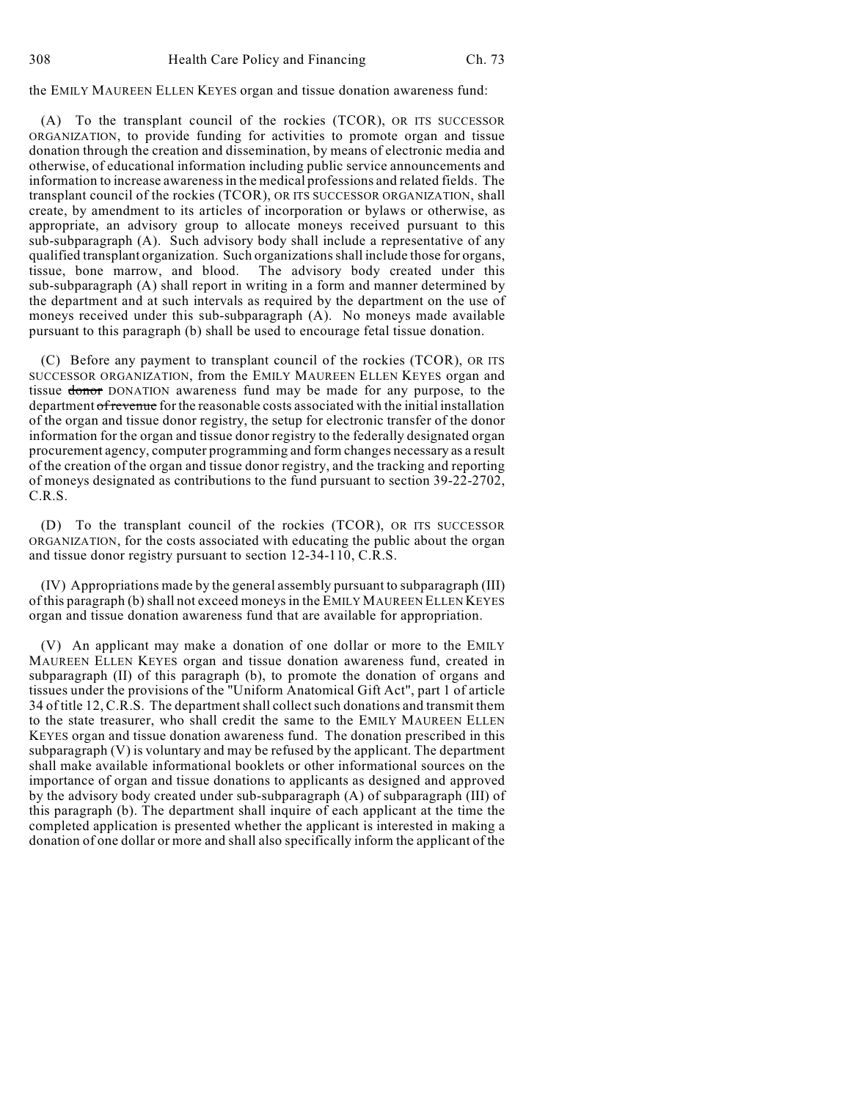the EMILY MAUREEN ELLEN KEYES organ and tissue donation awareness fund:

(A) To the transplant council of the rockies (TCOR), OR ITS SUCCESSOR ORGANIZATION, to provide funding for activities to promote organ and tissue donation through the creation and dissemination, by means of electronic media and otherwise, of educational information including public service announcements and information to increase awareness in the medical professions and related fields. The transplant council of the rockies (TCOR), OR ITS SUCCESSOR ORGANIZATION, shall create, by amendment to its articles of incorporation or bylaws or otherwise, as appropriate, an advisory group to allocate moneys received pursuant to this sub-subparagraph (A). Such advisory body shall include a representative of any qualified transplant organization. Such organizations shall include those for organs, tissue, bone marrow, and blood. The advisory body created under this sub-subparagraph (A) shall report in writing in a form and manner determined by the department and at such intervals as required by the department on the use of moneys received under this sub-subparagraph (A). No moneys made available pursuant to this paragraph (b) shall be used to encourage fetal tissue donation.

(C) Before any payment to transplant council of the rockies (TCOR), OR ITS SUCCESSOR ORGANIZATION, from the EMILY MAUREEN ELLEN KEYES organ and tissue donor DONATION awareness fund may be made for any purpose, to the department of revenue for the reasonable costs associated with the initial installation of the organ and tissue donor registry, the setup for electronic transfer of the donor information for the organ and tissue donor registry to the federally designated organ procurement agency, computer programming and form changes necessary as a result of the creation of the organ and tissue donor registry, and the tracking and reporting of moneys designated as contributions to the fund pursuant to section 39-22-2702, C.R.S.

(D) To the transplant council of the rockies (TCOR), OR ITS SUCCESSOR ORGANIZATION, for the costs associated with educating the public about the organ and tissue donor registry pursuant to section 12-34-110, C.R.S.

(IV) Appropriations made by the general assembly pursuant to subparagraph (III) of this paragraph (b) shall not exceed moneys in the EMILY MAUREEN ELLEN KEYES organ and tissue donation awareness fund that are available for appropriation.

(V) An applicant may make a donation of one dollar or more to the EMILY MAUREEN ELLEN KEYES organ and tissue donation awareness fund, created in subparagraph (II) of this paragraph (b), to promote the donation of organs and tissues under the provisions of the "Uniform Anatomical Gift Act", part 1 of article 34 of title 12, C.R.S. The department shall collect such donations and transmit them to the state treasurer, who shall credit the same to the EMILY MAUREEN ELLEN KEYES organ and tissue donation awareness fund. The donation prescribed in this subparagraph (V) is voluntary and may be refused by the applicant. The department shall make available informational booklets or other informational sources on the importance of organ and tissue donations to applicants as designed and approved by the advisory body created under sub-subparagraph (A) of subparagraph (III) of this paragraph (b). The department shall inquire of each applicant at the time the completed application is presented whether the applicant is interested in making a donation of one dollar or more and shall also specifically inform the applicant of the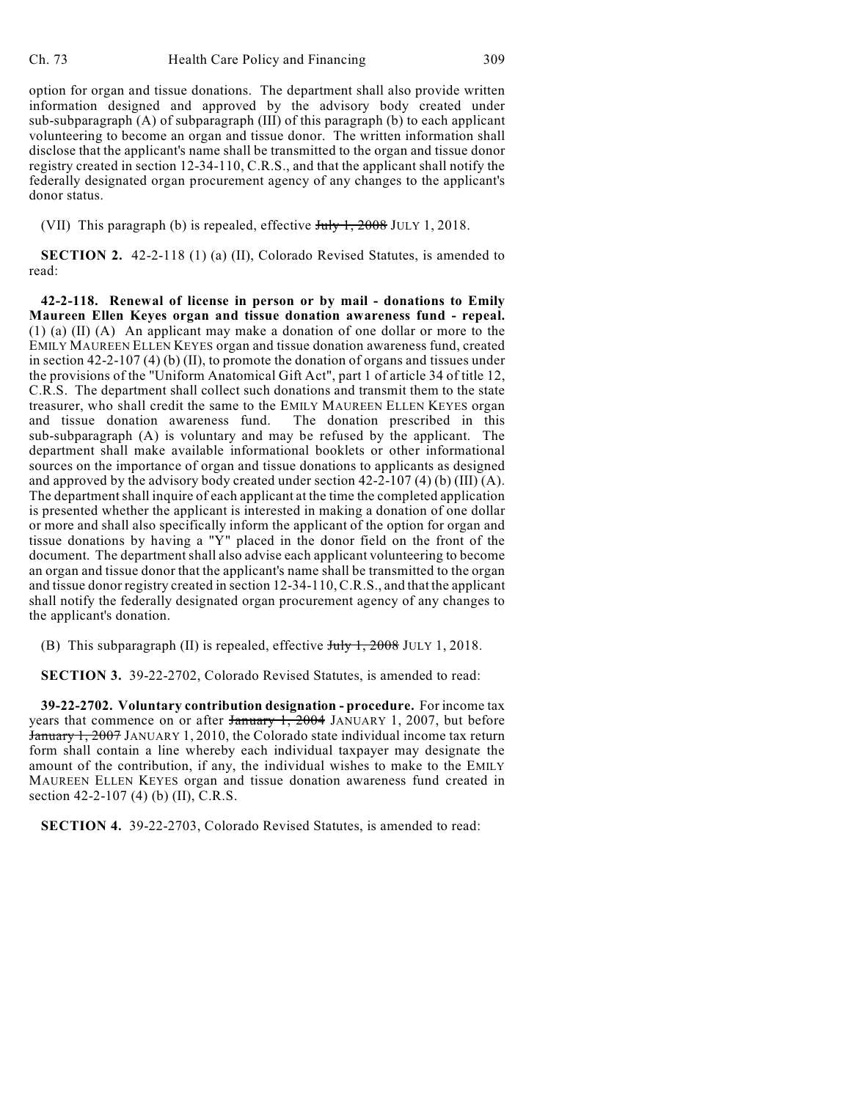option for organ and tissue donations. The department shall also provide written information designed and approved by the advisory body created under sub-subparagraph (A) of subparagraph (III) of this paragraph (b) to each applicant volunteering to become an organ and tissue donor. The written information shall disclose that the applicant's name shall be transmitted to the organ and tissue donor registry created in section 12-34-110, C.R.S., and that the applicant shall notify the federally designated organ procurement agency of any changes to the applicant's donor status.

(VII) This paragraph (b) is repealed, effective July 1, 2008 JULY 1, 2018.

**SECTION 2.** 42-2-118 (1) (a) (II), Colorado Revised Statutes, is amended to read:

**42-2-118. Renewal of license in person or by mail - donations to Emily Maureen Ellen Keyes organ and tissue donation awareness fund - repeal.** (1) (a) (II) (A) An applicant may make a donation of one dollar or more to the EMILY MAUREEN ELLEN KEYES organ and tissue donation awareness fund, created in section 42-2-107 (4) (b) (II), to promote the donation of organs and tissues under the provisions of the "Uniform Anatomical Gift Act", part 1 of article 34 of title 12, C.R.S. The department shall collect such donations and transmit them to the state treasurer, who shall credit the same to the EMILY MAUREEN ELLEN KEYES organ and tissue donation awareness fund. The donation prescribed in this sub-subparagraph (A) is voluntary and may be refused by the applicant. The department shall make available informational booklets or other informational sources on the importance of organ and tissue donations to applicants as designed and approved by the advisory body created under section  $42-2-107(4)$  (b) (III) (A). The department shall inquire of each applicant at the time the completed application is presented whether the applicant is interested in making a donation of one dollar or more and shall also specifically inform the applicant of the option for organ and tissue donations by having a "Y" placed in the donor field on the front of the document. The department shall also advise each applicant volunteering to become an organ and tissue donor that the applicant's name shall be transmitted to the organ and tissue donor registry created in section 12-34-110, C.R.S., and that the applicant shall notify the federally designated organ procurement agency of any changes to the applicant's donation.

(B) This subparagraph (II) is repealed, effective  $\frac{\text{H}_1}{\text{H}_2}$  JULY 1, 2018.

**SECTION 3.** 39-22-2702, Colorado Revised Statutes, is amended to read:

**39-22-2702. Voluntary contribution designation - procedure.** For income tax years that commence on or after January 1, 2004 JANUARY 1, 2007, but before January 1, 2007 JANUARY 1, 2010, the Colorado state individual income tax return form shall contain a line whereby each individual taxpayer may designate the amount of the contribution, if any, the individual wishes to make to the EMILY MAUREEN ELLEN KEYES organ and tissue donation awareness fund created in section 42-2-107 (4) (b) (II), C.R.S.

**SECTION 4.** 39-22-2703, Colorado Revised Statutes, is amended to read: